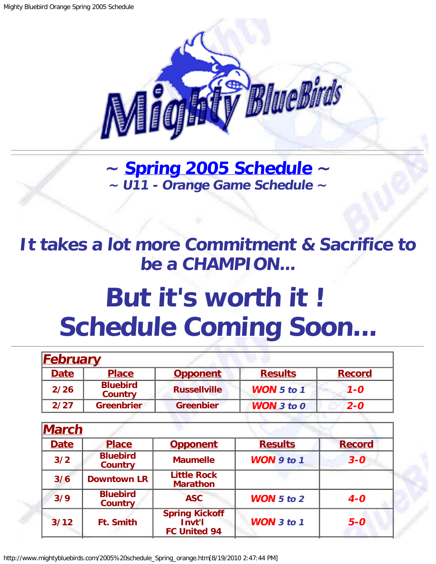

**~ [Spring 2005 Schedule](#page-0-0) ~ ~ U11 - Orange Game Schedule ~**

<span id="page-0-1"></span>**It takes a lot more Commitment & Sacrifice to be a CHAMPION...**

## **But it's worth it ! Schedule Coming Soon...**

| <b>February</b> |                                   |                     |                       |               |
|-----------------|-----------------------------------|---------------------|-----------------------|---------------|
| <b>Date</b>     | <b>Place</b>                      | <b>Opponent</b>     | <b>Results</b>        | <b>Record</b> |
| 2/26            | <b>Bluebird</b><br><b>Country</b> | <b>Russellville</b> | <b>WON</b> $5$ to $1$ | $1 - 0$       |
| 2/27            | <b>Greenbrier</b>                 | <b>Greenbier</b>    | <b>WON</b> $3$ to $0$ | $2 - 0$       |
|                 |                                   |                     |                       |               |

<span id="page-0-0"></span>

| <b>March</b> |                                   |                                                        |                   |               |
|--------------|-----------------------------------|--------------------------------------------------------|-------------------|---------------|
| <b>Date</b>  | <b>Place</b>                      | <b>Opponent</b>                                        | <b>Results</b>    | <b>Record</b> |
| 3/2          | <b>Bluebird</b><br><b>Country</b> | <b>Maumelle</b>                                        | WON $9$ to 1      | $3 - 0$       |
| 3/6          | <b>Downtown LR</b>                | <b>Little Rock</b><br><b>Marathon</b>                  |                   |               |
| 3/9          | <b>Bluebird</b><br><b>Country</b> | <b>ASC</b>                                             | <b>WON</b> 5 to 2 | $4-0$         |
| 3/12         | <b>Ft. Smith</b>                  | <b>Spring Kickoff</b><br>Invt'l<br><b>FC United 94</b> | <b>WON</b> 3 to 1 | $5-0$         |

http://www.mightybluebirds.com/2005%20schedule\_Spring\_orange.htm[8/19/2010 2:47:44 PM]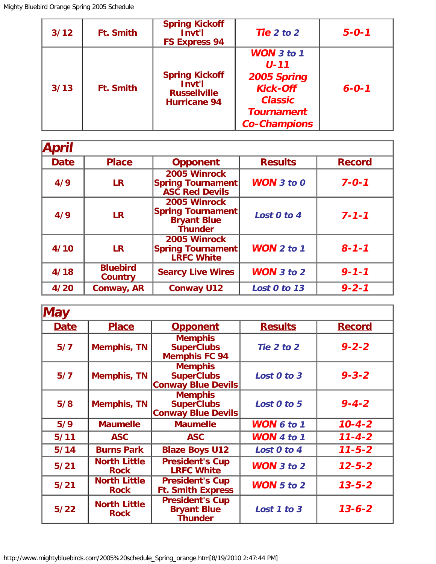| $3/12$ | <b>Ft. Smith</b> | <b>Spring Kickoff</b><br>Invt'l<br><b>FS Express 94</b>                       | Tie $2$ to $2$                                                                                                                | $5 - 0 - 1$ |
|--------|------------------|-------------------------------------------------------------------------------|-------------------------------------------------------------------------------------------------------------------------------|-------------|
| 3/13   | <b>Ft. Smith</b> | <b>Spring Kickoff</b><br>Invt'l<br><b>Russellville</b><br><b>Hurricane 94</b> | <b>WON</b> 3 to 1<br>$U - 11$<br>2005 Spring<br><b>Kick-Off</b><br><b>Classic</b><br><b>Tournament</b><br><b>Co-Champions</b> | $6 - 0 - 1$ |

| <b>April</b> |                                   |                                                                                  |                       |               |
|--------------|-----------------------------------|----------------------------------------------------------------------------------|-----------------------|---------------|
| <b>Date</b>  | <b>Place</b>                      | <b>Opponent</b>                                                                  | <b>Results</b>        | <b>Record</b> |
| 4/9          | <b>LR</b>                         | 2005 Winrock<br><b>Spring Tournament</b><br><b>ASC Red Devils</b>                | <b>WON</b> $3$ to $0$ | $7 - 0 - 1$   |
| 4/9          | <b>LR</b>                         | 2005 Winrock<br><b>Spring Tournament</b><br><b>Bryant Blue</b><br><b>Thunder</b> | Lost 0 to 4           | $7 - 1 - 1$   |
| 4/10         | <b>LR</b>                         | 2005 Winrock<br><b>Spring Tournament</b><br><b>LRFC White</b>                    | <b>WON</b> $2$ to $1$ | $8 - 1 - 1$   |
| 4/18         | <b>Bluebird</b><br><b>Country</b> | <b>Searcy Live Wires</b>                                                         | WON $3$ to $2$        | $9 - 1 - 1$   |
| 4/20         | Conway, AR                        | <b>Conway U12</b>                                                                | Lost 0 to 13          | $9 - 2 - 1$   |

| <u>May</u>  |                                    |                                                                  |                   |               |
|-------------|------------------------------------|------------------------------------------------------------------|-------------------|---------------|
| <b>Date</b> | <b>Place</b>                       | <b>Opponent</b>                                                  | <b>Results</b>    | <b>Record</b> |
| 5/7         | <b>Memphis, TN</b>                 | <b>Memphis</b><br><b>SuperClubs</b><br><b>Memphis FC 94</b>      | Tie 2 to 2        | $9 - 2 - 2$   |
| 5/7         | <b>Memphis, TN</b>                 | <b>Memphis</b><br><b>SuperClubs</b><br><b>Conway Blue Devils</b> | Lost 0 to 3       | $9 - 3 - 2$   |
| 5/8         | <b>Memphis, TN</b>                 | <b>Memphis</b><br><b>SuperClubs</b><br><b>Conway Blue Devils</b> | Lost 0 to 5       | $9 - 4 - 2$   |
| 5/9         | <b>Maumelle</b>                    | <b>Maumelle</b>                                                  | WON 6 to 1        | $10 - 4 - 2$  |
| $5/11$      | <b>ASC</b>                         | <b>ASC</b>                                                       | <b>WON</b> 4 to 1 | $11 - 4 - 2$  |
| $5/14$      | <b>Burns Park</b>                  | <b>Blaze Boys U12</b>                                            | Lost 0 to 4       | $11 - 5 - 2$  |
| $5/21$      | <b>North Little</b><br><b>Rock</b> | <b>President's Cup</b><br><b>LRFC White</b>                      | WON $3$ to $2$    | $12 - 5 - 2$  |
| $5/21$      | <b>North Little</b><br><b>Rock</b> | <b>President's Cup</b><br><b>Ft. Smith Express</b>               | <b>WON</b> 5 to 2 | $13 - 5 - 2$  |
| $5/22$      | <b>North Little</b><br><b>Rock</b> | <b>President's Cup</b><br><b>Bryant Blue</b><br>Thunder          | Lost 1 to 3       | $13 - 6 - 2$  |